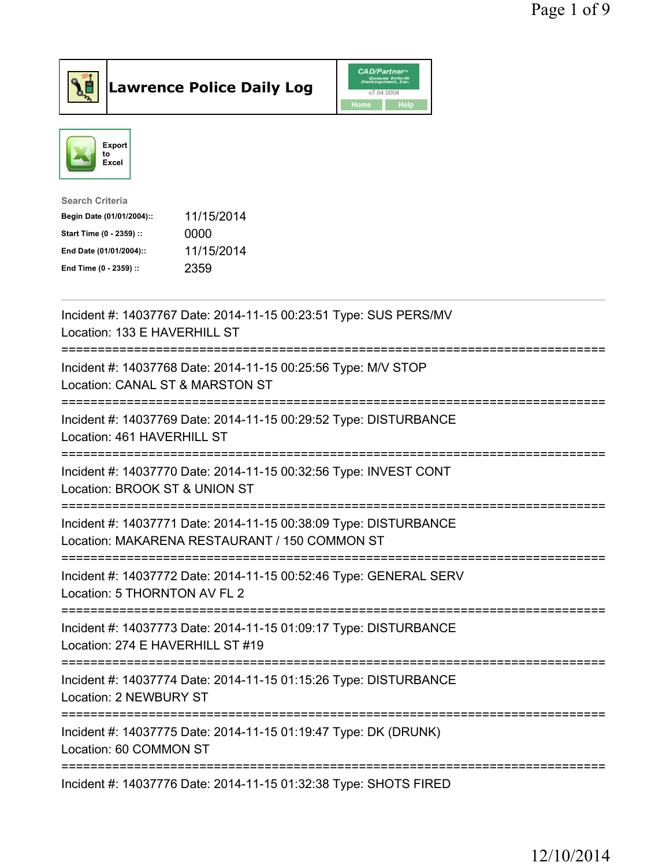



| Search Criteria           |            |
|---------------------------|------------|
| Begin Date (01/01/2004):: | 11/15/2014 |
| Start Time (0 - 2359) ::  | 0000       |
| End Date (01/01/2004)::   | 11/15/2014 |
| End Time (0 - 2359) ::    | 2359       |
|                           |            |

| Incident #: 14037767 Date: 2014-11-15 00:23:51 Type: SUS PERS/MV<br>Location: 133 E HAVERHILL ST                  |
|-------------------------------------------------------------------------------------------------------------------|
| Incident #: 14037768 Date: 2014-11-15 00:25:56 Type: M/V STOP<br>Location: CANAL ST & MARSTON ST                  |
| Incident #: 14037769 Date: 2014-11-15 00:29:52 Type: DISTURBANCE<br>Location: 461 HAVERHILL ST                    |
| Incident #: 14037770 Date: 2014-11-15 00:32:56 Type: INVEST CONT<br>Location: BROOK ST & UNION ST<br>---------    |
| Incident #: 14037771 Date: 2014-11-15 00:38:09 Type: DISTURBANCE<br>Location: MAKARENA RESTAURANT / 150 COMMON ST |
| Incident #: 14037772 Date: 2014-11-15 00:52:46 Type: GENERAL SERV<br>Location: 5 THORNTON AV FL 2                 |
| Incident #: 14037773 Date: 2014-11-15 01:09:17 Type: DISTURBANCE<br>Location: 274 E HAVERHILL ST #19              |
| Incident #: 14037774 Date: 2014-11-15 01:15:26 Type: DISTURBANCE<br><b>Location: 2 NEWBURY ST</b>                 |
| -------------<br>Incident #: 14037775 Date: 2014-11-15 01:19:47 Type: DK (DRUNK)<br>Location: 60 COMMON ST        |
| Incident #: 14037776 Date: 2014-11-15 01:32:38 Type: SHOTS FIRED                                                  |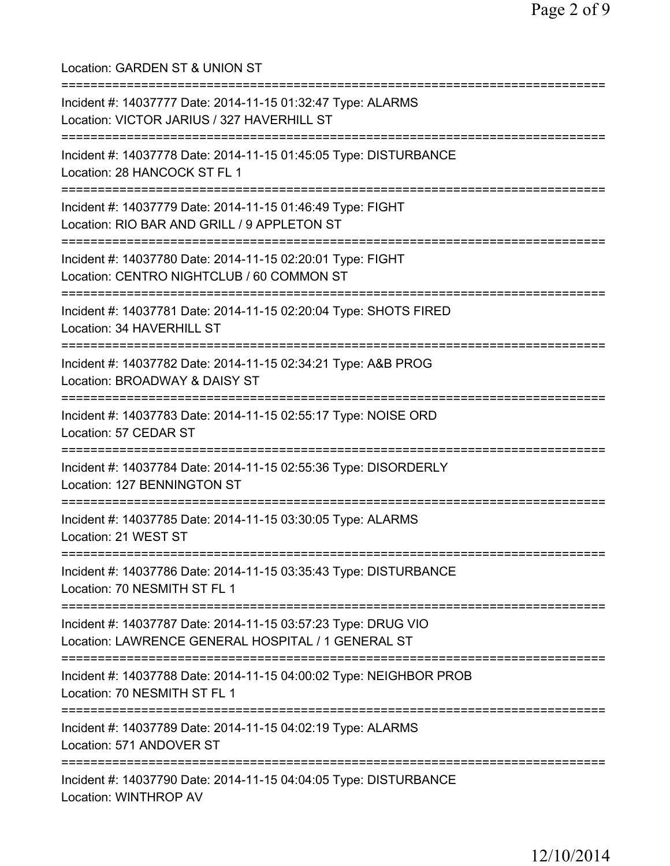Location: GARDEN ST & UNION ST =========================================================================== Incident #: 14037777 Date: 2014-11-15 01:32:47 Type: ALARMS Location: VICTOR JARIUS / 327 HAVERHILL ST =========================================================================== Incident #: 14037778 Date: 2014-11-15 01:45:05 Type: DISTURBANCE Location: 28 HANCOCK ST FL 1 =========================================================================== Incident #: 14037779 Date: 2014-11-15 01:46:49 Type: FIGHT Location: RIO BAR AND GRILL / 9 APPLETON ST =========================================================================== Incident #: 14037780 Date: 2014-11-15 02:20:01 Type: FIGHT Location: CENTRO NIGHTCLUB / 60 COMMON ST =========================================================================== Incident #: 14037781 Date: 2014-11-15 02:20:04 Type: SHOTS FIRED Location: 34 HAVERHILL ST =========================================================================== Incident #: 14037782 Date: 2014-11-15 02:34:21 Type: A&B PROG Location: BROADWAY & DAISY ST =========================================================================== Incident #: 14037783 Date: 2014-11-15 02:55:17 Type: NOISE ORD Location: 57 CEDAR ST =========================================================================== Incident #: 14037784 Date: 2014-11-15 02:55:36 Type: DISORDERLY Location: 127 BENNINGTON ST =========================================================================== Incident #: 14037785 Date: 2014-11-15 03:30:05 Type: ALARMS Location: 21 WEST ST =========================================================================== Incident #: 14037786 Date: 2014-11-15 03:35:43 Type: DISTURBANCE Location: 70 NESMITH ST FL 1 =========================================================================== Incident #: 14037787 Date: 2014-11-15 03:57:23 Type: DRUG VIO Location: LAWRENCE GENERAL HOSPITAL / 1 GENERAL ST =========================================================================== Incident #: 14037788 Date: 2014-11-15 04:00:02 Type: NEIGHBOR PROB Location: 70 NESMITH ST FL 1 =========================================================================== Incident #: 14037789 Date: 2014-11-15 04:02:19 Type: ALARMS Location: 571 ANDOVER ST =========================================================================== Incident #: 14037790 Date: 2014-11-15 04:04:05 Type: DISTURBANCE Location: WINTHROP AV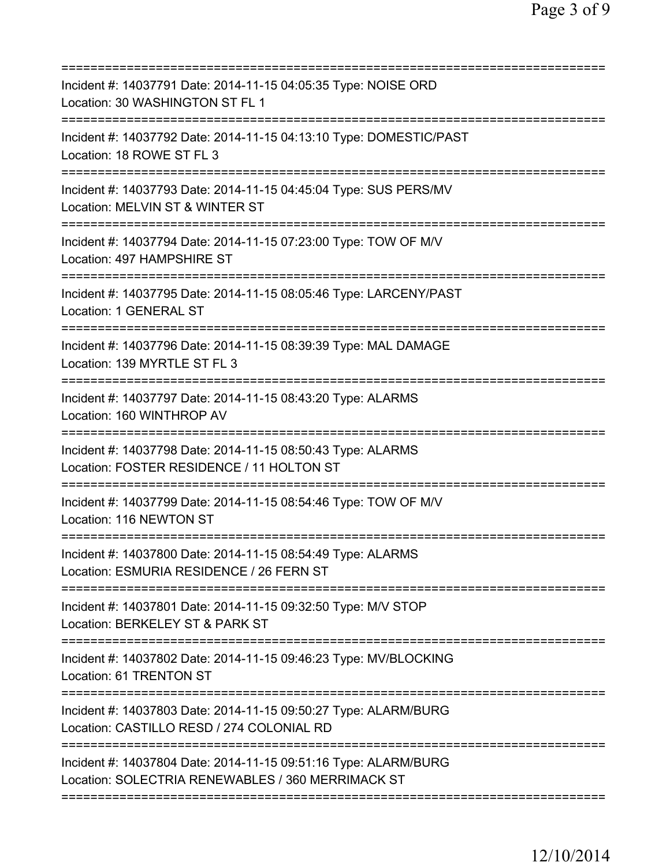| Incident #: 14037791 Date: 2014-11-15 04:05:35 Type: NOISE ORD<br>Location: 30 WASHINGTON ST FL 1<br>=======================<br>------------ |
|----------------------------------------------------------------------------------------------------------------------------------------------|
| Incident #: 14037792 Date: 2014-11-15 04:13:10 Type: DOMESTIC/PAST<br>Location: 18 ROWE ST FL 3                                              |
| Incident #: 14037793 Date: 2014-11-15 04:45:04 Type: SUS PERS/MV<br>Location: MELVIN ST & WINTER ST                                          |
| Incident #: 14037794 Date: 2014-11-15 07:23:00 Type: TOW OF M/V<br>Location: 497 HAMPSHIRE ST                                                |
| Incident #: 14037795 Date: 2014-11-15 08:05:46 Type: LARCENY/PAST<br><b>Location: 1 GENERAL ST</b>                                           |
| Incident #: 14037796 Date: 2014-11-15 08:39:39 Type: MAL DAMAGE<br>Location: 139 MYRTLE ST FL 3                                              |
| Incident #: 14037797 Date: 2014-11-15 08:43:20 Type: ALARMS<br>Location: 160 WINTHROP AV                                                     |
| Incident #: 14037798 Date: 2014-11-15 08:50:43 Type: ALARMS<br>Location: FOSTER RESIDENCE / 11 HOLTON ST                                     |
| Incident #: 14037799 Date: 2014-11-15 08:54:46 Type: TOW OF M/V<br>Location: 116 NEWTON ST                                                   |
| Incident #: 14037800 Date: 2014-11-15 08:54:49 Type: ALARMS<br>Location: ESMURIA RESIDENCE / 26 FERN ST                                      |
| Incident #: 14037801 Date: 2014-11-15 09:32:50 Type: M/V STOP<br>Location: BERKELEY ST & PARK ST                                             |
| Incident #: 14037802 Date: 2014-11-15 09:46:23 Type: MV/BLOCKING<br>Location: 61 TRENTON ST                                                  |
| Incident #: 14037803 Date: 2014-11-15 09:50:27 Type: ALARM/BURG<br>Location: CASTILLO RESD / 274 COLONIAL RD                                 |
| Incident #: 14037804 Date: 2014-11-15 09:51:16 Type: ALARM/BURG<br>Location: SOLECTRIA RENEWABLES / 360 MERRIMACK ST                         |
|                                                                                                                                              |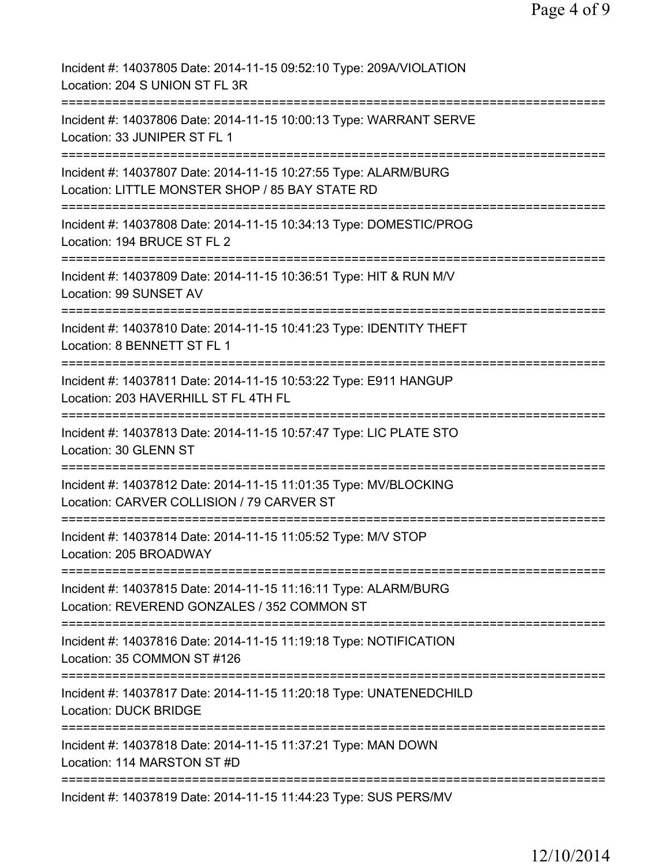| Incident #: 14037805 Date: 2014-11-15 09:52:10 Type: 209A/VIOLATION<br>Location: 204 S UNION ST FL 3R                                    |
|------------------------------------------------------------------------------------------------------------------------------------------|
| Incident #: 14037806 Date: 2014-11-15 10:00:13 Type: WARRANT SERVE<br>Location: 33 JUNIPER ST FL 1                                       |
| Incident #: 14037807 Date: 2014-11-15 10:27:55 Type: ALARM/BURG<br>Location: LITTLE MONSTER SHOP / 85 BAY STATE RD                       |
| Incident #: 14037808 Date: 2014-11-15 10:34:13 Type: DOMESTIC/PROG<br>Location: 194 BRUCE ST FL 2                                        |
| Incident #: 14037809 Date: 2014-11-15 10:36:51 Type: HIT & RUN M/V<br>Location: 99 SUNSET AV                                             |
| Incident #: 14037810 Date: 2014-11-15 10:41:23 Type: IDENTITY THEFT<br>Location: 8 BENNETT ST FL 1<br>================================== |
| Incident #: 14037811 Date: 2014-11-15 10:53:22 Type: E911 HANGUP<br>Location: 203 HAVERHILL ST FL 4TH FL<br>:==============              |
| ========================<br>Incident #: 14037813 Date: 2014-11-15 10:57:47 Type: LIC PLATE STO<br>Location: 30 GLENN ST                  |
| Incident #: 14037812 Date: 2014-11-15 11:01:35 Type: MV/BLOCKING<br>Location: CARVER COLLISION / 79 CARVER ST                            |
| Incident #: 14037814 Date: 2014-11-15 11:05:52 Type: M/V STOP<br>Location: 205 BROADWAY                                                  |
| Incident #: 14037815 Date: 2014-11-15 11:16:11 Type: ALARM/BURG<br>Location: REVEREND GONZALES / 352 COMMON ST                           |
| Incident #: 14037816 Date: 2014-11-15 11:19:18 Type: NOTIFICATION<br>Location: 35 COMMON ST #126<br>=============                        |
| Incident #: 14037817 Date: 2014-11-15 11:20:18 Type: UNATENEDCHILD<br><b>Location: DUCK BRIDGE</b>                                       |
| Incident #: 14037818 Date: 2014-11-15 11:37:21 Type: MAN DOWN<br>Location: 114 MARSTON ST #D                                             |
| Incident #: 14037819 Date: 2014-11-15 11:44:23 Type: SUS PERS/MV                                                                         |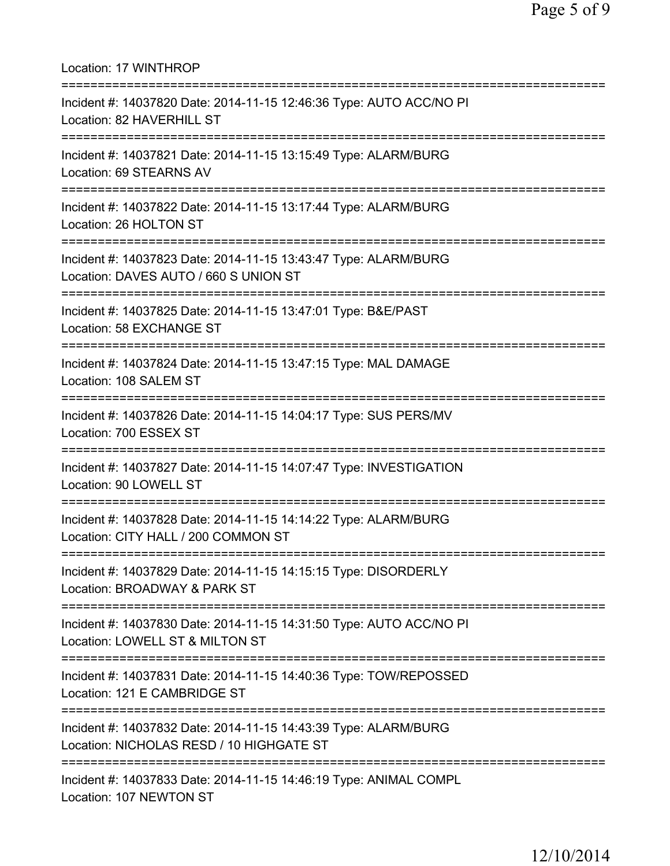Location: 17 WINTHROP =========================================================================== Incident #: 14037820 Date: 2014-11-15 12:46:36 Type: AUTO ACC/NO PI Location: 82 HAVERHILL ST =========================================================================== Incident #: 14037821 Date: 2014-11-15 13:15:49 Type: ALARM/BURG Location: 69 STEARNS AV =========================================================================== Incident #: 14037822 Date: 2014-11-15 13:17:44 Type: ALARM/BURG Location: 26 HOLTON ST =========================================================================== Incident #: 14037823 Date: 2014-11-15 13:43:47 Type: ALARM/BURG Location: DAVES AUTO / 660 S UNION ST =========================================================================== Incident #: 14037825 Date: 2014-11-15 13:47:01 Type: B&E/PAST Location: 58 EXCHANGE ST =========================================================================== Incident #: 14037824 Date: 2014-11-15 13:47:15 Type: MAL DAMAGE Location: 108 SALEM ST =========================================================================== Incident #: 14037826 Date: 2014-11-15 14:04:17 Type: SUS PERS/MV Location: 700 ESSEX ST =========================================================================== Incident #: 14037827 Date: 2014-11-15 14:07:47 Type: INVESTIGATION Location: 90 LOWELL ST =========================================================================== Incident #: 14037828 Date: 2014-11-15 14:14:22 Type: ALARM/BURG Location: CITY HALL / 200 COMMON ST =========================================================================== Incident #: 14037829 Date: 2014-11-15 14:15:15 Type: DISORDERLY Location: BROADWAY & PARK ST =========================================================================== Incident #: 14037830 Date: 2014-11-15 14:31:50 Type: AUTO ACC/NO PI Location: LOWELL ST & MILTON ST =========================================================================== Incident #: 14037831 Date: 2014-11-15 14:40:36 Type: TOW/REPOSSED Location: 121 E CAMBRIDGE ST =========================================================================== Incident #: 14037832 Date: 2014-11-15 14:43:39 Type: ALARM/BURG Location: NICHOLAS RESD / 10 HIGHGATE ST =========================================================================== Incident #: 14037833 Date: 2014-11-15 14:46:19 Type: ANIMAL COMPL Location: 107 NEWTON ST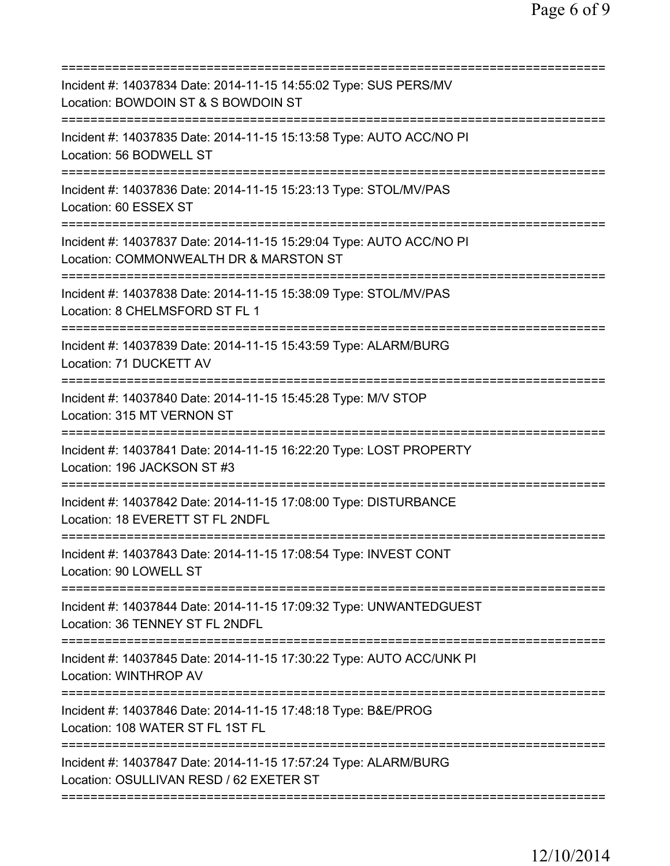| Incident #: 14037834 Date: 2014-11-15 14:55:02 Type: SUS PERS/MV<br>Location: BOWDOIN ST & S BOWDOIN ST                                  |
|------------------------------------------------------------------------------------------------------------------------------------------|
| Incident #: 14037835 Date: 2014-11-15 15:13:58 Type: AUTO ACC/NO PI<br>Location: 56 BODWELL ST                                           |
| Incident #: 14037836 Date: 2014-11-15 15:23:13 Type: STOL/MV/PAS<br>Location: 60 ESSEX ST                                                |
| Incident #: 14037837 Date: 2014-11-15 15:29:04 Type: AUTO ACC/NO PI<br>Location: COMMONWEALTH DR & MARSTON ST                            |
| Incident #: 14037838 Date: 2014-11-15 15:38:09 Type: STOL/MV/PAS<br>Location: 8 CHELMSFORD ST FL 1                                       |
| Incident #: 14037839 Date: 2014-11-15 15:43:59 Type: ALARM/BURG<br>Location: 71 DUCKETT AV                                               |
| Incident #: 14037840 Date: 2014-11-15 15:45:28 Type: M/V STOP<br>Location: 315 MT VERNON ST<br>=======================<br>============== |
| Incident #: 14037841 Date: 2014-11-15 16:22:20 Type: LOST PROPERTY<br>Location: 196 JACKSON ST #3                                        |
| Incident #: 14037842 Date: 2014-11-15 17:08:00 Type: DISTURBANCE<br>Location: 18 EVERETT ST FL 2NDFL                                     |
| Incident #: 14037843 Date: 2014-11-15 17:08:54 Type: INVEST CONT<br>Location: 90 LOWELL ST                                               |
| Incident #: 14037844 Date: 2014-11-15 17:09:32 Type: UNWANTEDGUEST<br>Location: 36 TENNEY ST FL 2NDFL                                    |
| Incident #: 14037845 Date: 2014-11-15 17:30:22 Type: AUTO ACC/UNK PI<br><b>Location: WINTHROP AV</b>                                     |
| Incident #: 14037846 Date: 2014-11-15 17:48:18 Type: B&E/PROG<br>Location: 108 WATER ST FL 1ST FL                                        |
| Incident #: 14037847 Date: 2014-11-15 17:57:24 Type: ALARM/BURG<br>Location: OSULLIVAN RESD / 62 EXETER ST                               |
|                                                                                                                                          |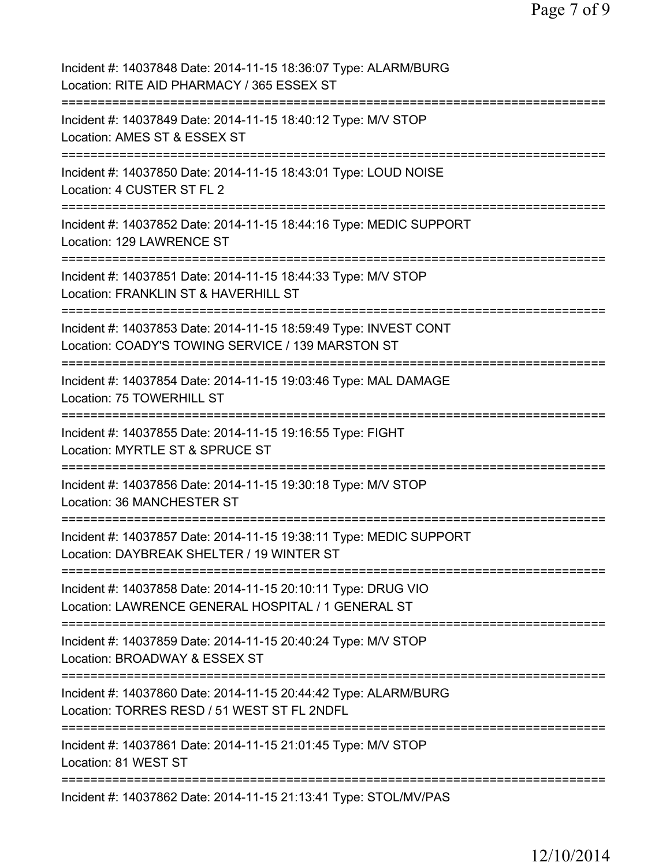| Incident #: 14037848 Date: 2014-11-15 18:36:07 Type: ALARM/BURG<br>Location: RITE AID PHARMACY / 365 ESSEX ST                         |
|---------------------------------------------------------------------------------------------------------------------------------------|
| Incident #: 14037849 Date: 2014-11-15 18:40:12 Type: M/V STOP<br>Location: AMES ST & ESSEX ST                                         |
| Incident #: 14037850 Date: 2014-11-15 18:43:01 Type: LOUD NOISE<br>Location: 4 CUSTER ST FL 2<br>:=================================== |
| Incident #: 14037852 Date: 2014-11-15 18:44:16 Type: MEDIC SUPPORT<br>Location: 129 LAWRENCE ST<br>=================================  |
| Incident #: 14037851 Date: 2014-11-15 18:44:33 Type: M/V STOP<br>Location: FRANKLIN ST & HAVERHILL ST                                 |
| Incident #: 14037853 Date: 2014-11-15 18:59:49 Type: INVEST CONT<br>Location: COADY'S TOWING SERVICE / 139 MARSTON ST                 |
| Incident #: 14037854 Date: 2014-11-15 19:03:46 Type: MAL DAMAGE<br>Location: 75 TOWERHILL ST                                          |
| Incident #: 14037855 Date: 2014-11-15 19:16:55 Type: FIGHT<br>Location: MYRTLE ST & SPRUCE ST<br>==============                       |
| Incident #: 14037856 Date: 2014-11-15 19:30:18 Type: M/V STOP<br>Location: 36 MANCHESTER ST                                           |
| Incident #: 14037857 Date: 2014-11-15 19:38:11 Type: MEDIC SUPPORT<br>Location: DAYBREAK SHELTER / 19 WINTER ST                       |
| Incident #: 14037858 Date: 2014-11-15 20:10:11 Type: DRUG VIO<br>Location: LAWRENCE GENERAL HOSPITAL / 1 GENERAL ST                   |
| ===============<br>Incident #: 14037859 Date: 2014-11-15 20:40:24 Type: M/V STOP<br>Location: BROADWAY & ESSEX ST<br>=========        |
| Incident #: 14037860 Date: 2014-11-15 20:44:42 Type: ALARM/BURG<br>Location: TORRES RESD / 51 WEST ST FL 2NDFL                        |
| Incident #: 14037861 Date: 2014-11-15 21:01:45 Type: M/V STOP<br>Location: 81 WEST ST                                                 |
| Incident #: 14037862 Date: 2014-11-15 21:13:41 Type: STOL/MV/PAS                                                                      |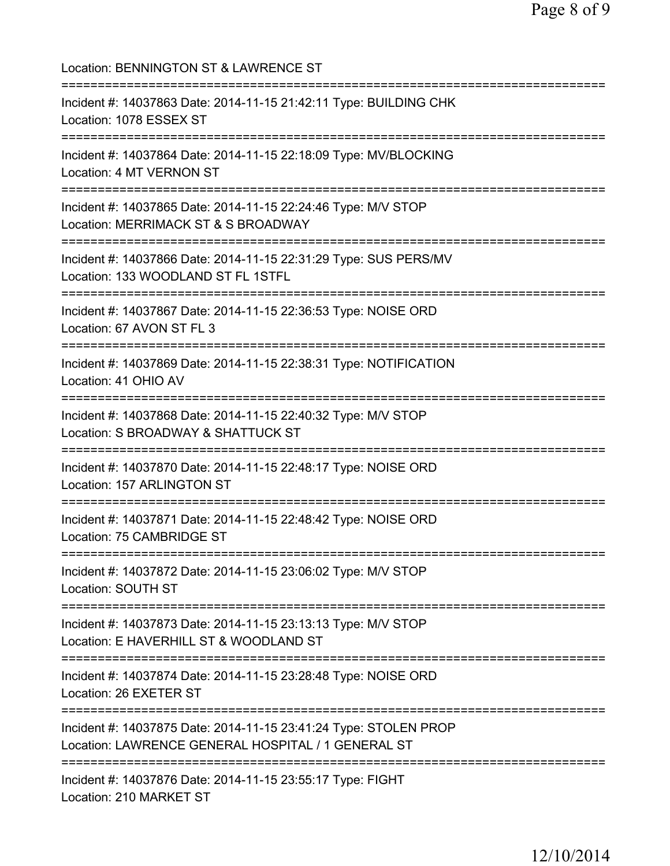| Location: BENNINGTON ST & LAWRENCE ST                                                                                                   |
|-----------------------------------------------------------------------------------------------------------------------------------------|
| Incident #: 14037863 Date: 2014-11-15 21:42:11 Type: BUILDING CHK<br>Location: 1078 ESSEX ST                                            |
| Incident #: 14037864 Date: 2014-11-15 22:18:09 Type: MV/BLOCKING<br>Location: 4 MT VERNON ST                                            |
| Incident #: 14037865 Date: 2014-11-15 22:24:46 Type: M/V STOP<br>Location: MERRIMACK ST & S BROADWAY                                    |
| Incident #: 14037866 Date: 2014-11-15 22:31:29 Type: SUS PERS/MV<br>Location: 133 WOODLAND ST FL 1STFL                                  |
| Incident #: 14037867 Date: 2014-11-15 22:36:53 Type: NOISE ORD<br>Location: 67 AVON ST FL 3                                             |
| :==============================<br>Incident #: 14037869 Date: 2014-11-15 22:38:31 Type: NOTIFICATION<br>Location: 41 OHIO AV            |
| ================================<br>Incident #: 14037868 Date: 2014-11-15 22:40:32 Type: M/V STOP<br>Location: S BROADWAY & SHATTUCK ST |
| ==================================<br>Incident #: 14037870 Date: 2014-11-15 22:48:17 Type: NOISE ORD<br>Location: 157 ARLINGTON ST      |
| Incident #: 14037871 Date: 2014-11-15 22:48:42 Type: NOISE ORD<br>Location: 75 CAMBRIDGE ST                                             |
| Incident #: 14037872 Date: 2014-11-15 23:06:02 Type: M/V STOP<br>Location: SOUTH ST                                                     |
| Incident #: 14037873 Date: 2014-11-15 23:13:13 Type: M/V STOP<br>Location: E HAVERHILL ST & WOODLAND ST                                 |
| Incident #: 14037874 Date: 2014-11-15 23:28:48 Type: NOISE ORD<br>Location: 26 EXETER ST                                                |
| Incident #: 14037875 Date: 2014-11-15 23:41:24 Type: STOLEN PROP<br>Location: LAWRENCE GENERAL HOSPITAL / 1 GENERAL ST                  |
| Incident #: 14037876 Date: 2014-11-15 23:55:17 Type: FIGHT<br>Location: 210 MARKET ST                                                   |